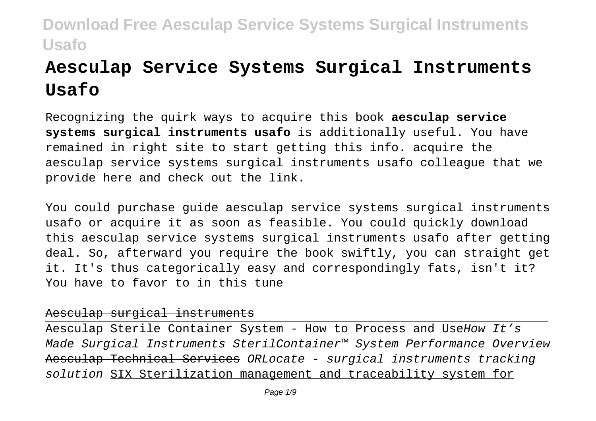# **Aesculap Service Systems Surgical Instruments Usafo**

Recognizing the quirk ways to acquire this book **aesculap service systems surgical instruments usafo** is additionally useful. You have remained in right site to start getting this info. acquire the aesculap service systems surgical instruments usafo colleague that we provide here and check out the link.

You could purchase guide aesculap service systems surgical instruments usafo or acquire it as soon as feasible. You could quickly download this aesculap service systems surgical instruments usafo after getting deal. So, afterward you require the book swiftly, you can straight get it. It's thus categorically easy and correspondingly fats, isn't it? You have to favor to in this tune

### Aesculap surgical instruments

Aesculap Sterile Container System - How to Process and UseHow It's Made Surgical Instruments SterilContainer™ System Performance Overview Aesculap Technical Services ORLocate - surgical instruments tracking solution SIX Sterilization management and traceability system for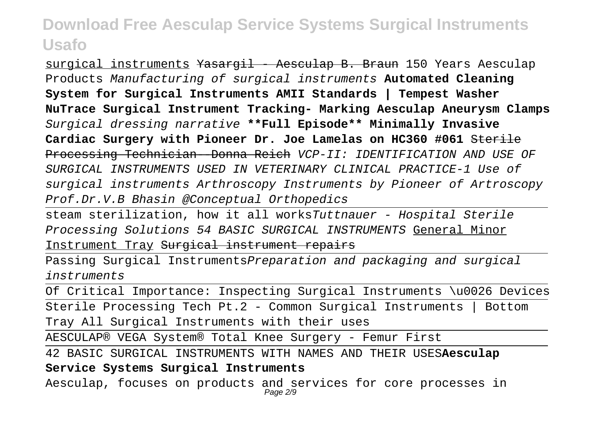surgical instruments <del>Yasargil - Aesculap B. Braun</del> 150 Years Aesculap Products Manufacturing of surgical instruments **Automated Cleaning System for Surgical Instruments AMII Standards | Tempest Washer NuTrace Surgical Instrument Tracking- Marking Aesculap Aneurysm Clamps** Surgical dressing narrative **\*\*Full Episode\*\* Minimally Invasive Cardiac Surgery with Pioneer Dr. Joe Lamelas on HC360 #061** Sterile Processing Technician--Donna Reich VCP-II: IDENTIFICATION AND USE OF SURGICAL INSTRUMENTS USED IN VETERINARY CLINICAL PRACTICE-1 Use of surgical instruments Arthroscopy Instruments by Pioneer of Artroscopy Prof.Dr.V.B Bhasin @Conceptual Orthopedics

steam sterilization, how it all worksTuttnauer - Hospital Sterile Processing Solutions 54 BASIC SURGICAL INSTRUMENTS General Minor Instrument Tray Surgical instrument repairs

Passing Surgical InstrumentsPreparation and packaging and surgical instruments

Of Critical Importance: Inspecting Surgical Instruments \u0026 Devices

Sterile Processing Tech Pt.2 - Common Surgical Instruments | Bottom Tray All Surgical Instruments with their uses

AESCULAP® VEGA System® Total Knee Surgery - Femur First

42 BASIC SURGICAL INSTRUMENTS WITH NAMES AND THEIR USES**Aesculap**

**Service Systems Surgical Instruments**

Aesculap, focuses on products and services for core processes in Page 2/9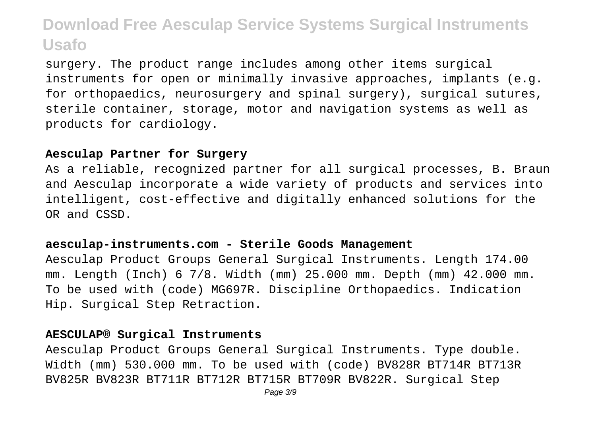surgery. The product range includes among other items surgical instruments for open or minimally invasive approaches, implants (e.g. for orthopaedics, neurosurgery and spinal surgery), surgical sutures, sterile container, storage, motor and navigation systems as well as products for cardiology.

#### **Aesculap Partner for Surgery**

As a reliable, recognized partner for all surgical processes, B. Braun and Aesculap incorporate a wide variety of products and services into intelligent, cost-effective and digitally enhanced solutions for the OR and CSSD.

### **aesculap-instruments.com - Sterile Goods Management**

Aesculap Product Groups General Surgical Instruments. Length 174.00 mm. Length (Inch) 6 7/8. Width (mm) 25.000 mm. Depth (mm) 42.000 mm. To be used with (code) MG697R. Discipline Orthopaedics. Indication Hip. Surgical Step Retraction.

#### **AESCULAP® Surgical Instruments**

Aesculap Product Groups General Surgical Instruments. Type double. Width (mm) 530.000 mm. To be used with (code) BV828R BT714R BT713R BV825R BV823R BT711R BT712R BT715R BT709R BV822R. Surgical Step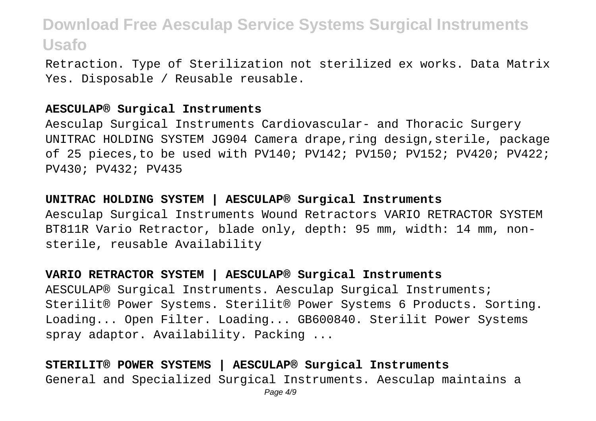Retraction. Type of Sterilization not sterilized ex works. Data Matrix Yes. Disposable / Reusable reusable.

#### **AESCULAP® Surgical Instruments**

Aesculap Surgical Instruments Cardiovascular- and Thoracic Surgery UNITRAC HOLDING SYSTEM JG904 Camera drape,ring design,sterile, package of 25 pieces,to be used with PV140; PV142; PV150; PV152; PV420; PV422; PV430; PV432; PV435

**UNITRAC HOLDING SYSTEM | AESCULAP® Surgical Instruments** Aesculap Surgical Instruments Wound Retractors VARIO RETRACTOR SYSTEM BT811R Vario Retractor, blade only, depth: 95 mm, width: 14 mm, nonsterile, reusable Availability

**VARIO RETRACTOR SYSTEM | AESCULAP® Surgical Instruments** AESCULAP® Surgical Instruments. Aesculap Surgical Instruments; Sterilit® Power Systems. Sterilit® Power Systems 6 Products. Sorting. Loading... Open Filter. Loading... GB600840. Sterilit Power Systems spray adaptor. Availability. Packing ...

**STERILIT® POWER SYSTEMS | AESCULAP® Surgical Instruments** General and Specialized Surgical Instruments. Aesculap maintains a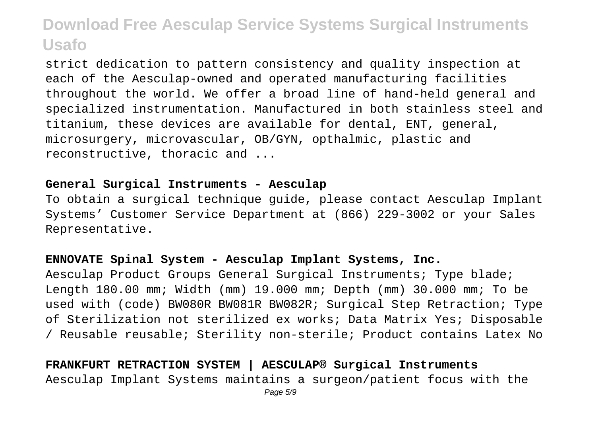strict dedication to pattern consistency and quality inspection at each of the Aesculap-owned and operated manufacturing facilities throughout the world. We offer a broad line of hand-held general and specialized instrumentation. Manufactured in both stainless steel and titanium, these devices are available for dental, ENT, general, microsurgery, microvascular, OB/GYN, opthalmic, plastic and reconstructive, thoracic and ...

#### **General Surgical Instruments - Aesculap**

To obtain a surgical technique guide, please contact Aesculap Implant Systems' Customer Service Department at (866) 229-3002 or your Sales Representative.

### **ENNOVATE Spinal System - Aesculap Implant Systems, Inc.**

Aesculap Product Groups General Surgical Instruments; Type blade; Length 180.00 mm; Width (mm) 19.000 mm; Depth (mm) 30.000 mm; To be used with (code) BW080R BW081R BW082R; Surgical Step Retraction; Type of Sterilization not sterilized ex works; Data Matrix Yes; Disposable / Reusable reusable; Sterility non-sterile; Product contains Latex No

**FRANKFURT RETRACTION SYSTEM | AESCULAP® Surgical Instruments** Aesculap Implant Systems maintains a surgeon/patient focus with the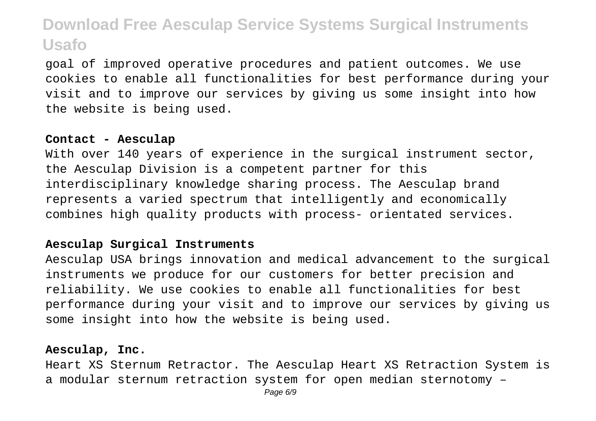goal of improved operative procedures and patient outcomes. We use cookies to enable all functionalities for best performance during your visit and to improve our services by giving us some insight into how the website is being used.

### **Contact - Aesculap**

With over 140 years of experience in the surgical instrument sector, the Aesculap Division is a competent partner for this interdisciplinary knowledge sharing process. The Aesculap brand represents a varied spectrum that intelligently and economically combines high quality products with process- orientated services.

### **Aesculap Surgical Instruments**

Aesculap USA brings innovation and medical advancement to the surgical instruments we produce for our customers for better precision and reliability. We use cookies to enable all functionalities for best performance during your visit and to improve our services by giving us some insight into how the website is being used.

### **Aesculap, Inc.**

Heart XS Sternum Retractor. The Aesculap Heart XS Retraction System is a modular sternum retraction system for open median sternotomy –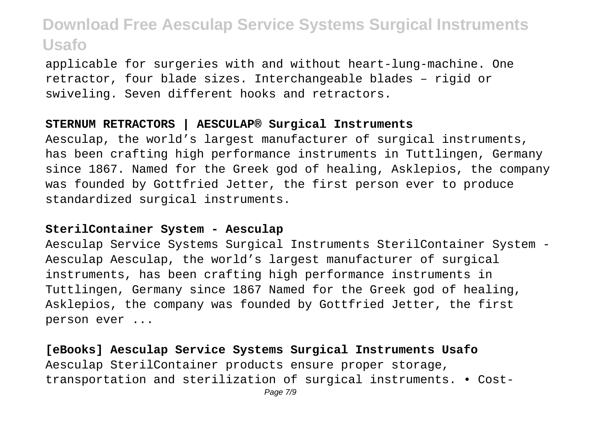applicable for surgeries with and without heart-lung-machine. One retractor, four blade sizes. Interchangeable blades – rigid or swiveling. Seven different hooks and retractors.

### **STERNUM RETRACTORS | AESCULAP® Surgical Instruments**

Aesculap, the world's largest manufacturer of surgical instruments, has been crafting high performance instruments in Tuttlingen, Germany since 1867. Named for the Greek god of healing, Asklepios, the company was founded by Gottfried Jetter, the first person ever to produce standardized surgical instruments.

### **SterilContainer System - Aesculap**

Aesculap Service Systems Surgical Instruments SterilContainer System - Aesculap Aesculap, the world's largest manufacturer of surgical instruments, has been crafting high performance instruments in Tuttlingen, Germany since 1867 Named for the Greek god of healing, Asklepios, the company was founded by Gottfried Jetter, the first person ever ...

**[eBooks] Aesculap Service Systems Surgical Instruments Usafo** Aesculap SterilContainer products ensure proper storage, transportation and sterilization of surgical instruments. • Cost-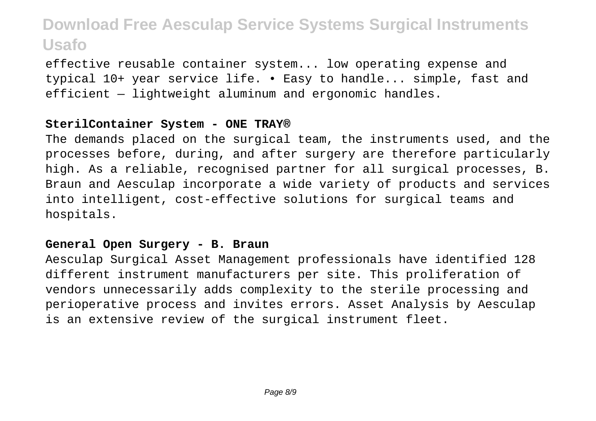effective reusable container system... low operating expense and typical 10+ year service life. • Easy to handle... simple, fast and efficient — lightweight aluminum and ergonomic handles.

### **SterilContainer System - ONE TRAY®**

The demands placed on the surgical team, the instruments used, and the processes before, during, and after surgery are therefore particularly high. As a reliable, recognised partner for all surgical processes, B. Braun and Aesculap incorporate a wide variety of products and services into intelligent, cost-effective solutions for surgical teams and hospitals.

### **General Open Surgery - B. Braun**

Aesculap Surgical Asset Management professionals have identified 128 different instrument manufacturers per site. This proliferation of vendors unnecessarily adds complexity to the sterile processing and perioperative process and invites errors. Asset Analysis by Aesculap is an extensive review of the surgical instrument fleet.